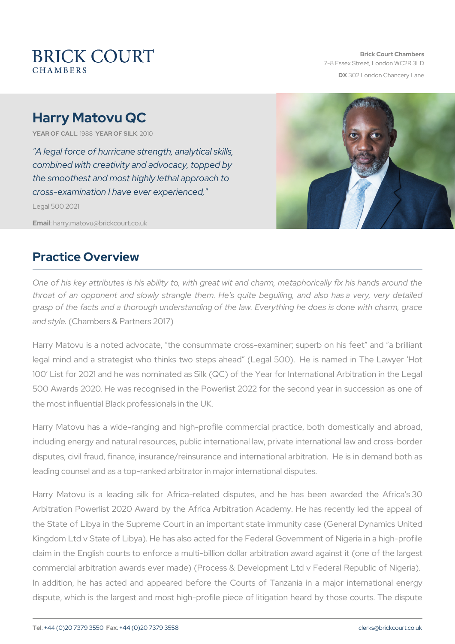# Harry Matovu QC

YEAR OF CALLSLARE AR OF SIZUK10

"A legal force of hurricane strength, analytical skills, combined with creativity and advocacy, topped by the smoothest and most highly lethal approach to cross-examination I have ever experienced," Legal 500 2021

Emaiharry.matovu@brickcourt.co.uk

#### Practice Overview

One of his key attributes is his ability to, with great wit and charm, throat of an opponent and slowly strangle them. He's quite beguil grasp of the facts and a thorough understanding of the law. Everythi and  $sty$  Gehambers & Partners 2017)

Harry Matovu is a noted advocate, the consummate cross-examiner; legal mind and a strategist who thinks two steps ahead (Legal 50). 100 List for 2021 and he was nominated as Silk (QC) of the Year for 500 Awards 2020. He was recognised in the Powerlist 2022 for the s the most influential Black professionals in the UK.

Harry Matovu has a wide-ranging and high-profile commercial pract including energy and natural resources, public international law, privational law and crossdisputes, civil fraud, finance, insurance/reinsurance and international leading counsel and as a top-ranked arbitrator in major international disputes.

Harry Matovu is a leading silk for Africa-related disputes, and he Arbitration Powerlist 2020 Award by the Africa Arbitration Academy. the State of Libya in the Supreme Court in an important state immur Kingdom Ltd v State of Libya). He has also acted for the Federal Gov claim in the English courts to enforce a multi-billion dollar arbitrati commercial arbitration awards ever made) (Process & Development L In addition, he has acted and appeared before the Courts of Tanz dispute, which is the largest and most high-profile piece of litigatio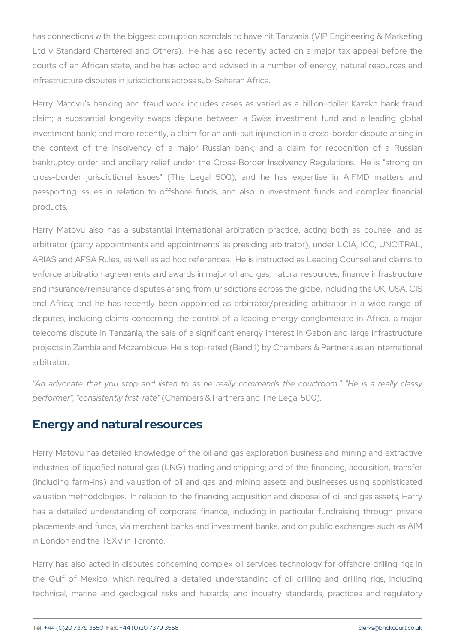has connections with the biggest corruption scandals to have hit Tar Ltd v Standard Chartered and Others). He has also recently acte courts of an African state, and he has acted and advised in a num infrastructure disputes in jurisdictions across sub-Saharan Africa.

Harry Matovu s banking and fraud work includes cases as varied claim; a substantial longevity swaps dispute between a Swiss in investment bank; and more recently, a claim for an anti-suit injunction the context of the insolvency of a major Russian bank; and a bankruptcy order and ancillary relief under the Cross-Border Insolv cross-border jurisdictional issues" (The Legal 500), and he has passporting issues in relation to offshore funds, and also in inv products.

Harry Matovu also has a substantial international arbitration pra arbitrator (party appointments and appointments as presiding arbitrator) ARIAS and AFSA Rules, as well as ad hoc references. He is instruc enforce arbitration agreements and awards in major oil and gas, nat and insurance/reinsurance disputes arising from jurisdictions across and Africa; and he has recently been appointed as arbitrator/pre disputes, including claims concerning the control of a leading ene telecoms dispute in Tanzania, the sale of a significant energy inter projects in Zambia and Mozambique. He is top-rated (Band 1) by Char arbitrator.

"An advocate that you stop and listen to as he really commands performer", "consisten  $(tC\psi)$  aimbers to "Partners and The Legal 500).

#### Energy and natural resources

Harry Matovu has detailed knowledge of the oil and gas exploration industries; of liquefied natural gas (LNG) trading and shipping; and (including farm-ins) and valuation of oil and gas and mining asset valuation methodologies. In relation to the financing, acquisition an has a detailed understanding of corporate finance, including in p placements and funds, via merchant banks and investment banks, an in London and the TSXV in Toronto.

Harry has also acted in disputes concerning complex oil services to the Gulf of Mexico, which required a detailed understanding of technical, marine and geological risks and hazards, and industry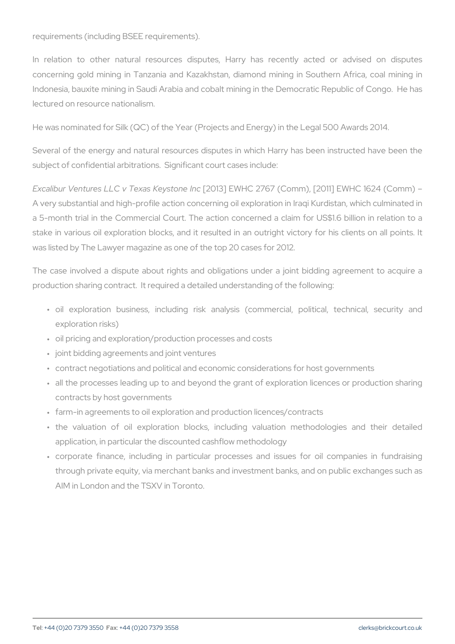requirements (including BSEE requirements).

In relation to other natural resources disputes, Harry has red concerning gold mining in Tanzania and Kazakhstan, diamond minin Indonesia, bauxite mining in Saudi Arabia and cobalt mining in the Democratic Republic Republic Republic Of lectured on resource nationalism.

He was nominated for Silk (QC) of the Year (Projects and Energy) in t

Several of the energy and natural resources disputes in which Harry subject of confidential arbitrations. Significant court cases include:

Excalibur Ventures LLC v Te [x2a 0s1 K]e JESN/oHO 2 n67 (Comm), [2011] EWHO A very substantial and high-profile action concerning oil exploration i a 5-month trial in the Commercial Court. The action concerned a cl stake in various oil exploration blocks, and it resulted in an outrig was listed by The Lawyer magazine as one of the top 20 cases for 201

The case involved a dispute about rights and obligations under a j production sharing contract. It required a detailed understanding of t

- "oil exploration business, including risk analysis (commercia exploration risks)
- " oil pricing and exploration/production processes and costs
- " joint bidding agreements and joint ventures
- " contract negotiations and political and economic considerations fo
- " all the processes leading up to and beyond the grant of explorati contracts by host governments
- " farm-in agreements to oil exploration and production licences/cont
- " the valuation of oil exploration blocks, including valuation application, in particular the discounted cashflow methodology
- " corporate finance, including in particular processes and issue through private equity, via merchant banks and investment banks, AIM in London and the TSXV in Toronto.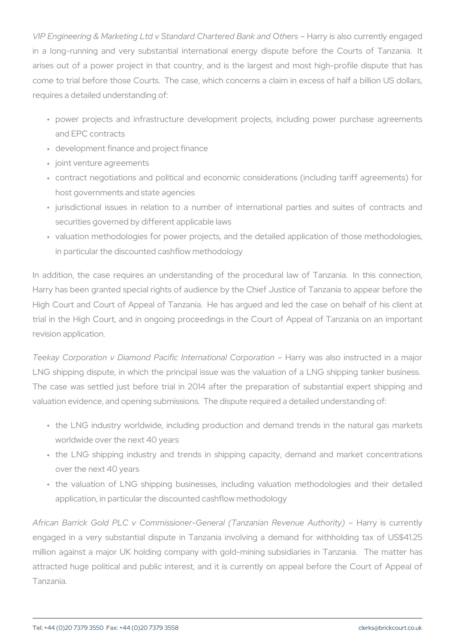VIP Engineering & Marketing Ltd v Standard Charter reisd ablasmok caum de Ottlily en in a long-running and very substantial international energy disput arises out of a power project in that country, and is the largest a come to trial before those Courts. The case, which concerns a claim requires a detailed understanding of:

- " power projects and infrastructure development projects, includi and EPC contracts
- " development finance and project finance
- " joint venture agreements
- " contract negotiations and political and economic considerations host governments and state agencies
- " jurisdictional issues in relation to a number of international securities governed by different applicable laws
- " valuation methodologies for power projects, and the detailed app in particular the discounted cashflow methodology

In addition, the case requires an understanding of the procedural Harry has been granted special rights of audience by the Chief Justi High Court and Court of Appeal of Tanzania. He has argued and le trial in the High Court, and in ongoing proceedings in the Court of revision application.

Teekay Corporation v Diamond Pacific International Cobspormation cted LNG shipping dispute, in which the principal issue was the valuatio The case was settled just before trial in 2014 after the preparation valuation evidence, and opening submissions. The dispute required a

- " the LNG industry worldwide, including production and demand tr worldwide over the next 40 years
- " the LNG shipping industry and trends in shipping capacity, de over the next 40 years
- " the valuation of LNG shipping businesses, including valuation application, in particular the discounted cashflow methodology

African Barrick Gold PLC v Commissioner-General (Thazaynian Rueve engaged in a very substantial dispute in Tanzania involving a dem million against a major UK holding company with gold-mining subsi attracted huge political and public interest, and it is currently on Tanzania.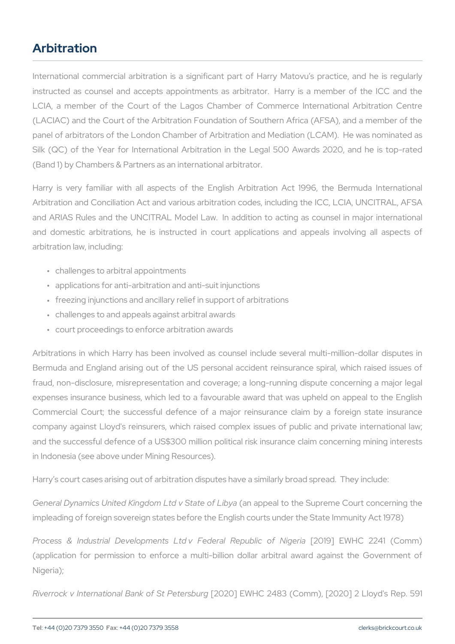## Arbitration

International commercial arbitration is a significant part of Harry instructed as counsel and accepts appointments as arbitrator. Har LCIA, a member of the Court of the Lagos Chamber of Commerce (LACIAC) and the Court of the Arbitration Foundation of Southern Af panel of arbitrators of the London Chamber of Arbitration and Mediat Silk (QC) of the Year for International Arbitration in the Legal 50 (Band 1) by Chambers & Partners as an international arbitrator.

Harry is very familiar with all aspects of the English Arbitration Arbitration and Conciliation Act and various arbitration codes, includ and ARIAS Rules and the UNCITRAL Model Law. In addition to act and domestic arbitrations, he is instructed in court applications arbitration law, including:

- " challenges to arbitral appointments
- " applications for anti-arbitration and anti-suit injunctions
- " freezing injunctions and ancillary relief in support of arbitrations
- " challenges to and appeals against arbitral awards
- " court proceedings to enforce arbitration awards

Arbitrations in which Harry has been involved as counsel include s Bermuda and England arising out of the US personal accident reins fraud, non-disclosure, misrepresentation and coverage; a long-running expenses insurance business, which led to a favourable award that Commercial Court; the successful defence of a major reinsurance company against Lloyd's reinsurers, which raised complex issues of and the successful defence of a US\$300 million political risk insuran in Indonesia (see above under Mining Resources).

Harry s court cases arising out of arbitration disputes have a similarly

General Dynamics United Kingdom (htd axppSetate to of the ib Synapreme Court concerning the Supering the Supering the Supering the Supering the Supering the Supering the Supering the Supering the Supering Court concerning impleading of foreign sovereign states before the English courts unde

Process & Industrial Developments Ltd v F2e0d1e9rbal ERVeHpOubl2 @ 4 1of (Comm) (application for permission to enforce a multi-billion dollar arbitr Nigeria);

Riverrock v International Bank 0020 St E PV et Gr 2483 (Comm), [2020] 2 Ll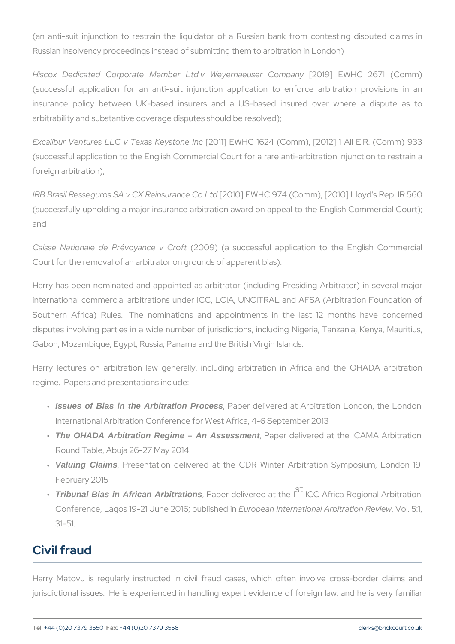(an anti-suit injunction to restrain the liquidator of a Russian ba Russian insolvency proceedings instead of submitting them to arbitrat

Hiscox Dedicated Corporate Member Ltd v [2/04 94 rh E Wu-s Gr T 26 ompa (successful application for an anti-suit injunction application to insurance policy between UK-based insurers and a US-based in arbitrability and substantive coverage disputes should be resolved);

Excalibur Ventures LLC v Te (2a0s1 K e ES N/oth Ce 1624 (Comm), [2012] 1 All (successful application to the English Commercial Court for a rare and foreign arbitration);

IRB Brasil Resseguros SA v CX [Reinnos]uEd Mild C @ J 4 L (Comm), [2010] Lloy (successfully upholding a major insurance arbitration award on appeal and

Caisse Nationale de Prévo $\hat{y}$ ance (a Gruccfotessful application to the Court for the removal of an arbitrator on grounds of apparent bias).

Harry has been nominated and appointed as arbitrator (including P international commercial arbitrations under ICC, LCIA, UNCITRAL ar Southern Africa) Rules. The nominations and appointments in t disputes involving parties in a wide number of jurisdictions, includi Gabon, Mozambique, Egypt, Russia, Panama and the British Virgin Isla

Harry lectures on arbitration law generally, including arbitration regime. Papers and presentations include:

- " Issues of Bias in the Arbitration Process, Raper delivered at Arbitration Lond International Arbitration Conference for West Africa, 4-6 Septembe
- " The OHADA Arbitration Regime An Assessment, Paper delivered at the ICAMA Round Table, Abuja 26-27 May 2014
- " Valuing Claims, Presentation delivered at the CDR Winter Arbitrati February 2015
- " Tribunal Bias in African Arbitrations , Paper delivered ICC the rita Regional Arb Conference, Lagos 19-21 June E200 b  $\hat{\phi}$  e ap w blin stearch time nal Ar, b M od tion 1, 31-51.

## Civil fraud

Harry Matovu is regularly instructed in civil fraud cases, which of jurisdictional issues. He is experienced in handling expert evidence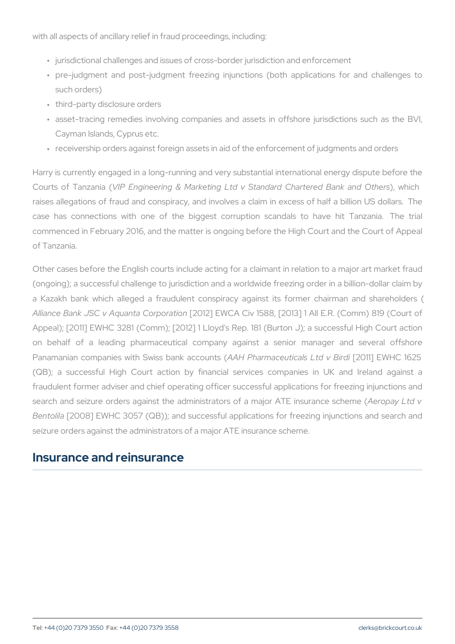with all aspects of ancillary relief in fraud proceedings, including:

- " jurisdictional challenges and issues of cross-border jurisdiction and
- " pre-judgment and post-judgment freezing injunctions (both app such orders)
- " third-party disclosure orders
- " asset-tracing remedies involving companies and assets in offsh Cayman Islands, Cyprus etc.
- " receivership orders against foreign assets in aid of the enforceme

Harry is currently engaged in a long-running and very substantial int Courts of Tamizan Englineering & Marketing Ltd v Standard, Cunhaircthre raises allegations of fraud and conspiracy, and involves a claim in case has connections with one of the biggest corruption scand commenced in February 2016, and the matter is ongoing before the H of Tanzania.

Other cases before the English courts include acting for a claimant i (ongoing); a successful challenge to jurisdiction and a worldwide fre a Kazakh bank which alleged a fraudulent conspiracy against its Alliance Bank JSC v Aquanta 10 ar bordion [2013] 1 All E.R. Appeal); [2011] EWHC 3281 (Comm); [2012] 1 Lloyd's Rep. 181 (Bur on behalf of a leading pharmaceutical company against a sel Panamanian companies with Swiss Hb Pharmaceutisa (s [20d 1y B W HiC 1625] (QB); a successful High Court action by financial services com fraudulent former adviser and chief operating officer successful appl search and seizure orders against the administrators  $A$  ferap pranajor to  $A$   $\overline{v}$ Bentol[22008] EWHC 3057 (QB)); and successful applications for free seizure orders against the administrators of a major ATE insurance sc

#### Insurance and reinsurance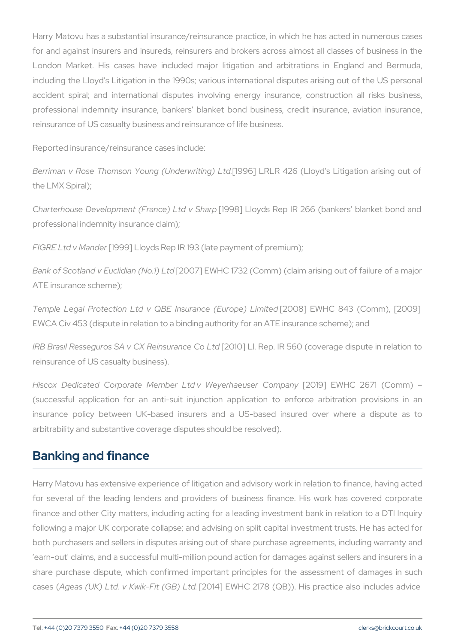Harry Matovu has a substantial insurance/reinsurance practice, in w for and against insurers and insureds, reinsurers and brokers acros London Market. His cases have included major litigation and an including the Lloyd's Litigation in the 1990s; various international d accident spiral; and international disputes involving energy insur professional indemnity insurance, bankers' blanket bond business, reinsurance of US casualty business and reinsurance of life business.

Reported insurance/reinsurance cases include:

Berriman v Rose Thomson Young[1(9U9r6deLwRrLiRin4g26L(dloyd s Litigation the LMX Spiral);

Charterhouse Development (France) Ltd v Sharp [1998] Lloyds Rep IR 266 (bankers blanket bond and professional indemnity insurance claim);

FIGRE Ltd v Mander Lloyds Rep IR 193 (late payment of premium);

Bank of Scotland v Eucliclian (NEWHCLtd 32 (Comm) (claim arising out ATE insurance scheme);

Temple Legal Protection Ltd v QBE Insurance (Europe) Limited [2008] EWHC 843 (Comm), [2009] EWCA Civ 453 (dispute in relation to a binding authority for an ATE in

IRB Brasil Resseguros SA v CX [R@1m0d ult an ReepCol Rt 660 (coverage disp reinsurance of US casualty business).

Hiscox Dedicated Corporate Member Ltd v [200e199e] rh a bouts @ r 267 m p a 6 (successful application for an anti-suit injunction application to insurance policy between UK-based insurers and a US-based in arbitrability and substantive coverage disputes should be resolved).

#### Banking and finance

Harry Matovu has extensive experience of litigation and advisory wor for several of the leading lenders and providers of business finar finance and other City matters, including acting for a leading invest following a major UK corporate collapse; and advising on split capital both purchasers and sellers in disputes arising out of share purchas earn-out' claims, and a successful multi-million pound action for dan share purchase dispute, which confirmed important principles for t case & g(eas ( UK) Ltd. v Kwik<sup>-</sup> $F$ 014(GB) W HL Cd. 2178 ( QB)). His practice a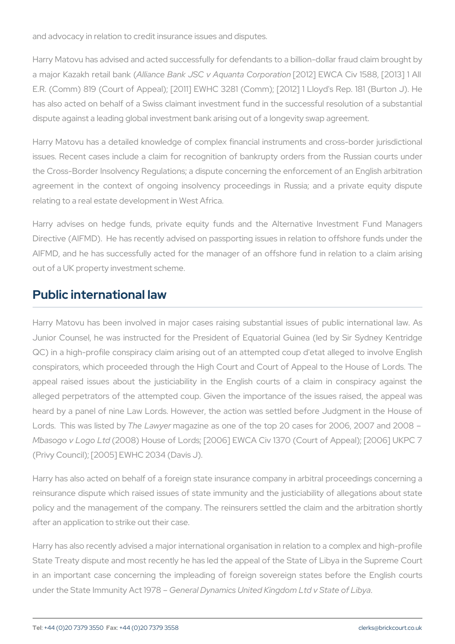and advocacy in relation to credit insurance issues and disputes.

Harry Matovu has advised and acted successfully for defendants to a a major Kazakh r Athid n ban Bank JSC v Aquan 2012 br Fo Wr Ca Aio Chiv 1588, [2 E.R. (Comm) 819 (Court of Appeal); [2011] EWHC 3281 (Comm); [20 has also acted on behalf of a Swiss claimant investment fund in the dispute against a leading global investment bank arising out of a long

Harry Matovu has a detailed knowledge of complex financial instrum issues. Recent cases include a claim for recognition of bankrupty o the Cross-Border Insolvency Regulations; a dispute concerning the er agreement in the context of ongoing insolvency proceedings in R relating to a real estate development in West Africa.

Harry advises on hedge funds, private equity funds and the Alternative Investment Fund Managers Directive (AIFMD). He has recently advised on passporting issues in AIFMD, and he has successfully acted for the manager of an offsho out of a UK property investment scheme.

#### Public international law

Harry Matovu has been involved in major cases raising substantial Junior Counsel, he was instructed for the President of Equatorial ( QC) in a high-profile conspiracy claim arising out of an attempted c conspirators, which proceeded through the High Court and Court of Appeal of  $A$ appeal raised issues about the justiciability in the English courts alleged perpetrators of the attempted coup. Given the importance of heard by a panel of nine Law Lords. However, the action was settle Lords. This was hile is tead who are as one of the top 20 cases for 200 Mbasogo v Log 2008d House of Lords; [2006] EWCA Civ 1370 (Court of (Privy Council); [2005] EWHC 2034 (Davis J).

Harry has also acted on behalf of a foreign state insurance company reinsurance dispute which raised issues of state immunity and the ju policy and the management of the company. The reinsurers settled t after an application to strike out their case.

Harry has also recently advised a major international organisation in State Treaty dispute and most recently he has led the appeal of the State Treaty dispute and most recently he in an important case concerning the impleading of foreign sovereign under the State Immunice Acertal DyManmics United Kingdom Ltd v State of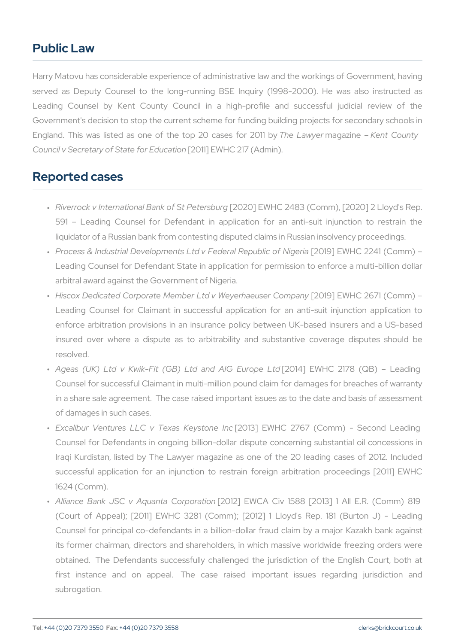### Public Law

Harry Matovu has considerable experience of administrative law and t served as Deputy Counsel to the long-running BSE Inquiry (1998 Leading Counsel by Kent County Council in a high-profile an Government's decision to stop the current scheme for funding buildin England. This was listed as one of the Thtop Lawmaga a sin Ecolum they Council v Secretary of Stafe Of the EENW Hatian 7 (Admin).

#### Reported cases

- " Riverrock v International Ban[k2 Ob2f0 \$t EPNeHI of s2b4u8r3g (Comm), [2020] 2 591 Leading Counsel for Defendant in application for an liquidator of a Russian bank from contesting disputed claims in Ru
- " Process & Industrial Developments Ltd v <code>F[201694</code>lER<code>Neht</code>  $\Omega$ b2i2c4 of ( $\Omega$ og Leading Counsel for Defendant State in application for permissio arbitral award against the Government of Nigeria.
- " Hiscox Dedicated Corporate Member Ltd v [W2|@oy|]hhaeWuHsGer266711np(aCnoy Leading Counsel for Claimant in successful application for an enforce arbitration provisions in an insurance policy between U insured over where a dispute as to arbitrability and substant resolved.
- "Ageas (UK) Ltd v Kwik-Fit (GB) Lto[20a1n4d] ÆlWGHOEu12o1p7e8 L(1OdB) Counsel for successful Claimant in multi-million pound claim for d in a share sale agreement. The case raised important issues as t of damages in such cases.
- " Excalibur Ventures LLC v Tęłast3]Ke Ey Witholde 217n6c7 (Comm) Sec Counsel for Defendants in ongoing billion-dollar dispute concerr Iraqi Kurdistan, listed by The Lawyer magazine as one of the successful application for an injunction to restrain foreign arl 1624 (Comm).
- " Alliance Bank JSC v Aqua[n210a120CoEpMoCaAtioOniv 1588 [2013] 1 All (Court of Appeal); [2011] EWHC 3281 (Comm); [2012] 1 Lloyd Counsel for principal co-defendants in a billion-dollar fraud clai its former chairman, directors and shareholders, in which massi obtained. The Defendants successfully challenged the jurisdict first instance and on appeal. The case raised important subrogation.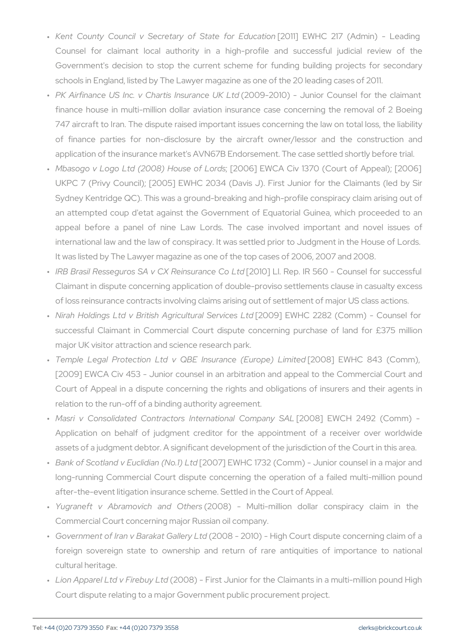- " Kent County Council v Secretary q[20Sfid]teEV1/dHrC E2111.7cat(iAoonlmin) Counsel for claimant local authority in a high-profile and Government's decision to stop the current scheme for funding schools in England, listed by The Lawyer magazine as one of the 2
- " PK Airfinance US Inc. v Chart(i2800m9s20alm0d)e– UK unLibd Counsel for finance house in multi-million dollar aviation insurance case concerning the removal of 2 Boeing the removal of 747 aircraft to Iran. The dispute raised important issues concerni of finance parties for non-disclosure by the aircraft owner/ application of the insurance market's AVN67B Endorsement. The case
- " Mbasogo v Logo Ltd (2008); H[o2u0s0e6] o EW CorAdsCiv 1370 (Court of A UKPC 7 (Privy Council); [2005] EWHC 2034 (Davis J). First Jur Sydney Kentridge QC). This was a ground-breaking and high-profil an attempted coup d'etat against the Government of Equatorial appeal before a panel of nine Law Lords. The case involve international law and the law of conspiracy. It was settled prior to It was listed by The Lawyer magazine as one of the top cases of 2
- " IRB Brasil Resseguros SA v CX[**R@1**n0\$;uLrb.n & & pColRto50 Counsel Claimant in dispute concerning application of double-proviso settl of loss reinsurance contracts involving claims arising out of settle
- " Nirah Holdings Ltd v British Agr[i2:00t9u]raEEWSHeClvi2c2e&s2 L(tClomm) C successful Claimant in Commercial Court dispute concerning p major UK visitor attraction and science research park.
- " Temple Legal Protection Ltd v QBE Ins[02.020r8c]e E(MEhelCop&e43 Li(mGiont [2009] EWCA Civ 453 - Junior counsel in an arbitration and append to the Court and  $\alpha$ Court of Appeal in a dispute concerning the rights and obligations relation to the run-off of a binding authority agreement.
- " Masri v Consolidated Contractors Inte[r2n0a0t8o]naElW Chom p2a4992 \$CAoLn Application on behalf of judgment creditor for the appointment assets of a judgment debtor. A significant development of the juristical
- " Bank of Scotland v Eucli[c2iQaoh7] NEoW1H) CLtd732 (Comm) Junior couns long-running Commercial Court dispute concerning the operation after-the-event litigation insurance scheme. Settled in the Court of
- "Yugraneft v Abramovich(20a0n8d) OthMeusti-million dollar conspir Commercial Court concerning major Russian oil company.
- " Government of Iran v Bara(k2a0t0 & all2e0 y Ol)tel High Court dispute conc foreign sovereign state to ownership and return of rare anti cultural heritage.
- " Lion Apparel Ltd v F2n0e0b8u)y–LFfidrst Junior for the Claimants in a mu Court dispute relating to a major Government public procurement p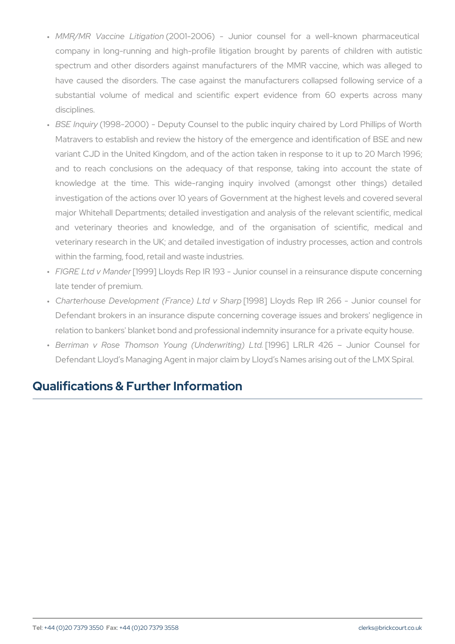- " MMR/MR Vaccine (12i0t0g1a 2i0on6) Junior counsel for a well-kn company in long-running and high-profile litigation brought by spectrum and other disorders against manufacturers of the MM have caused the disorders. The case against the manufacturers substantial volume of medical and scientific expert evidence disciplines.
- " BSE Inq(u1i9)98-2000) Deputy Counsel to the public inquiry chair Matravers to establish and review the history of the emergence and identification of  $B$ variant CJD in the United Kingdom, and of the action taken in re and to reach conclusions on the adequacy of that response, knowledge at the time. This wide-ranging inquiry involved investigation of the actions over 10 years of Government at the h major Whitehall Departments; detailed investigation and analysis and veterinary theories and knowledge, and of the organi veterinary research in the UK; and detailed investigation of industry processes within the farming, food, retail and waste industries.
- " FIGRE Ltd v [Mann9d9e]r Lloyds Rep IR 193 Junior counsel in a reins late tender of premium.
- " Charterhouse Development (Fra[n1o9e9)8]LtLdlow,dSsh&nepp IR 266 Junio Defendant brokers in an insurance dispute concerning coverage is relation to bankers' blanket bond and professional indemnity insur
- " Berriman v Rose Thomson Young[1,0U9n6d]erLwRrLifRng4)26Ltd. Junior C Defendant Lloyd s Managing Agent in major claim by Lloyd s Name

# Qualifications & Further Information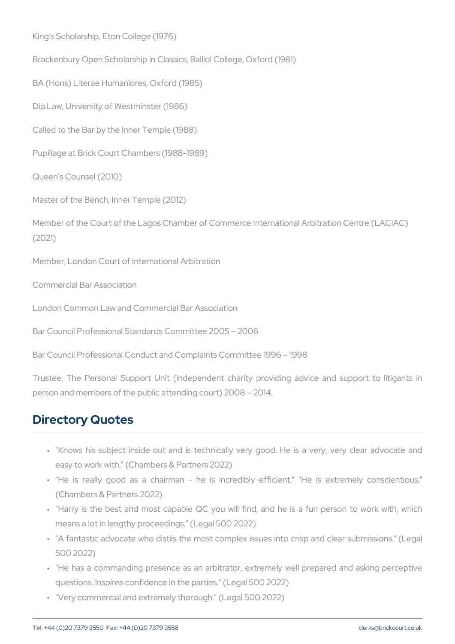King's Scholarship, Eton College (1976) Brackenbury Open Scholarship in Classics, Balliol College, Oxford (19 BA (Hons) Literae Humaniores, Oxford (1985) Dip.Law, University of Westminster (1986) Called to the Bar by the Inner Temple (1988) Pupillage at Brick Court Chambers (1988-1989) Queen's Counsel (2010) Master of the Bench, Inner Temple (2012) Member of the Court of the Lagos Chamber of Commerce International (2021) Member, London Court of International Arbitration Commercial Bar Association London Common Law and Commercial Bar Association Bar Council Professional Standards Committee 2005 2006 Bar Council Professional Conduct and Complaints Committee 1996 19 Trustee, The Personal Support Unit (independent charity providing person and members of the public attending court) 2008 2014.

### Directory Quotes

- " "Knows his subject inside out and is technically very good. He easy to work with." (Chambers & Partners 2022)
- " "He is really good as a chairman he is incredibly efficier (Chambers & Partners 2022)
- " "Harry is the best and most capable QC you will find, and he means a lot in lengthy proceedings." (Legal 500 2022)
- " "A fantastic advocate who distils the most complex issues into c 500 2022)
- " "He has a commanding presence as an arbitrator, extremely wel questions. Inspires confidence in the parties." (Legal 500 2022)
- " "Very commercial and extremely thorough." (Legal 500 2022)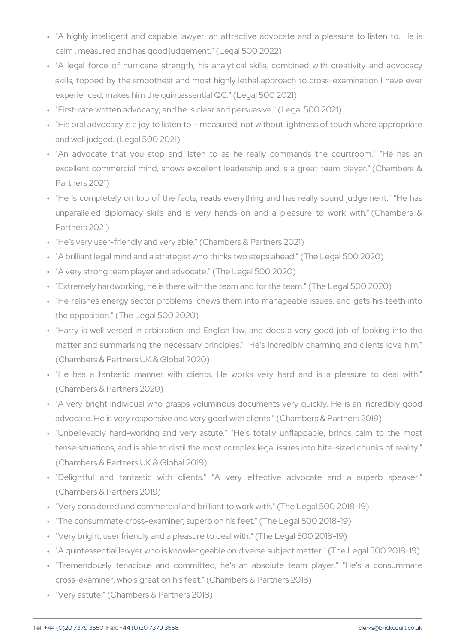- " "A highly intelligent and capable lawyer, an attractive advocate calm , measured and has good judgement." (Legal 500 2022)
- " "A legal force of hurricane strength, his analytical skills, con skills, topped by the smoothest and most highly lethal approach experienced, makes him the quintessential QC." (Legal 500 2021)
- " "First-rate written advocacy, and he is clear and persuasive." (Leg
- " "His oral advocacy is a joy to listen to measured, not without lig and well judged. (Legal 500 2021)
- " "An advocate that you stop and listen to as he really comm excellent commercial mind, shows excellent leadership and is a Partners 2021)
- " "He is completely on top of the facts, reads everything and has unparalleled diplomacy skills and is very hands-on and a ple Partners 2021)
- " "He's very user-friendly and very able." (Chambers & Partners 2021)
- " "A brilliant legal mind and a strategist who thinks two steps ahead
- " "A very strong team player and advocate." (The Legal 500 2020)
- " "Extremely hardworking, he is there with the team and for the tean
- " "He relishes energy sector problems, chews them into manageab the opposition." (The Legal 500 2020)
- " "Harry is well versed in arbitration and English law, and does matter and summarising the necessary principles." "He's incredil (Chambers & Partners UK & Global 2020)
- " "He has a fantastic manner with clients. He works very har (Chambers & Partners 2020)
- " "A very bright individual who grasps voluminous documents very advocate. He is very responsive and very good with clients." (Cha
- " "Unbelievably hard-working and very astute." "He's totally unfl tense situations, and is able to distil the most complex legal issue (Chambers & Partners UK & Global 2019)
- " "Delightful and fantastic with clients." "A very effective (Chambers & Partners 2019)
- " "Very considered and commercial and brilliant to work with." (The " "The consummate cross-examiner; superb on his feet." (The Legal " "Very bright, user friendly and a pleasure to deal with." (The Lega " "A quintessential lawyer who is knowledgeable on diverse subject " "Tremendously tenacious and committed, he's an absolute tea cross-examiner, who's great on his feet." (Chambers & Partners 20 " "Very astute." (Chambers & Partners 2018)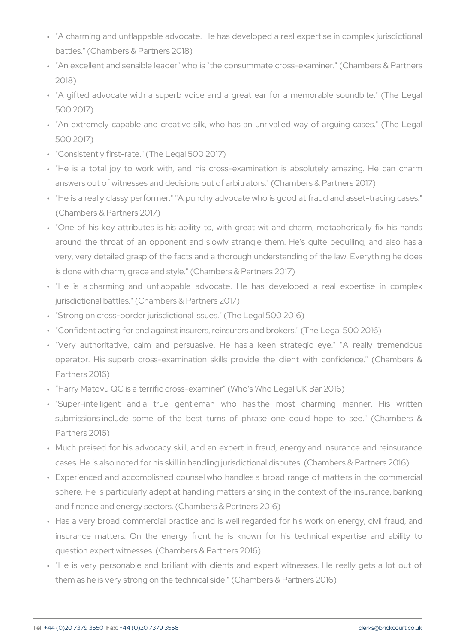- " "A charming and unflappable advocate. He has developed a real  $\epsilon$ battles." (Chambers & Partners 2018)
- " "An excellent and sensible leader" who is "the consummate cross-2018)
- " "A gifted advocate with a superb voice and a great ear for a r 500 2017)
- " "An extremely capable and creative silk, who has an unrivalled 500 2017)
- " "Consistently first-rate." (The Legal 500 2017)
- " "He is a total joy to work with, and his cross-examination is answers out of witnesses and decisions out of arbitrators." (Cham
- " "He is a really classy performer." "A punchy advocate who is good (Chambers & Partners 2017)
- " "One of his key attributes is his ability to, with great wit and around the throat of an opponent and slowly strangle them. He very, very detailed grasp of the facts and a thorough understandi is done with charm, grace and style." (Chambers & Partners 2017)
- " "He is a charming and unflappable advocate. He has develo jurisdictional battles." (Chambers & Partners 2017)
- " "Strong on cross-border jurisdictional issues." (The Legal 500 2016)
- " "Confident acting for and against insurers, reinsurers and brokers
- " "Very authoritative, calm and persuasive. He has a keen str operator. His superb cross-examination skills provide the clie Partners 2016)
- " Harry Matovu QC is a terrific cross-examiner (Who's Who Legal U
- " "Super-intelligent and a true gentleman who has the most submissions include some of the best turns of phrase one c Partners 2016)
- " Much praised for his advocacy skill, and an expert in fraud, en cases. He is also noted for his skill in handling jurisdictional disp
- " Experienced and accomplished counsel who handles a broad rang sphere. He is particularly adept at handling matters arising in th and finance and energy sectors. (Chambers & Partners 2016)
- " Has a very broad commercial practice and is well regarded for h insurance matters. On the energy front he is known for his question expert witnesses. (Chambers & Partners 2016)
- " "He is very personable and brilliant with clients and expert wi them as he is very strong on the technical side." (Chambers & Par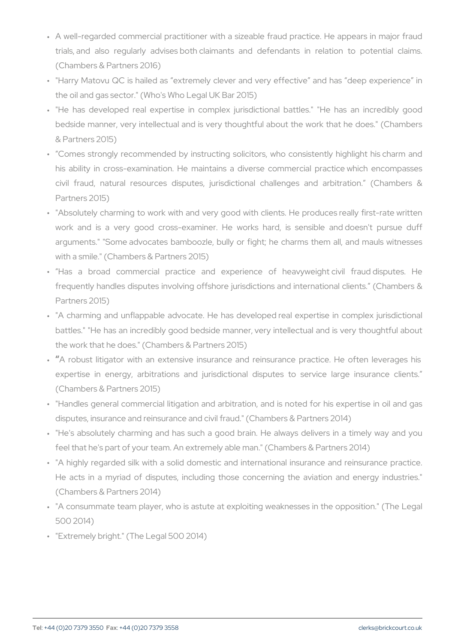- " A well-regarded commercial practitioner with a sizeable fraud pr trials, and also regularly advises both claimants and defendar (Chambers & Partners 2016)
- " "Harry Matovu QC is hailed as extremely clever and very effect the oil and gas sector." (Who's Who Legal UK Bar 2015)
- " "He has developed real expertise in complex jurisdictional ba bedside manner, very intellectual and is very thoughtful about the & Partners 2015)
- " Comes strongly recommended by instructing solicitors, who con his ability in cross-examination. He maintains a diverse comm civil fraud, natural resources disputes, jurisdictional challer Partners 2015)
- " "Absolutely charming to work with and very good with clients. He work and is a very good cross-examiner. He works hard, is arguments." "Some advocates bamboozle, bully or fight; he char with a smile." (Chambers & Partners 2015)
- " Has a broad commercial practice and experience of he frequently handles disputes involving offshore jurisdictions and i Partners 2015)
- " "A charming and unflappable advocate. He has developed real e battles." "He has an incredibly good bedside manner, very intelle the work that he does." (Chambers & Partners 2015)
- " A robust litigator with an extensive insurance and reinsurance expertise in energy, arbitrations and jurisdictional disputes (Chambers & Partners 2015)
- " "Handles general commercial litigation and arbitration, and is no disputes, insurance and reinsurance and civil fraud." (Chambers &
- " "He's absolutely charming and has such a good brain. He alway feel that he's part of your team. An extremely able man." (Chamber
- " "A highly regarded silk with a solid domestic and international He acts in a myriad of disputes, including those concerning the (Chambers & Partners 2014)
- " "A consummate team player, who is astute at exploiting weakness 500 2014)
- " "Extremely bright." (The Legal 500 2014)